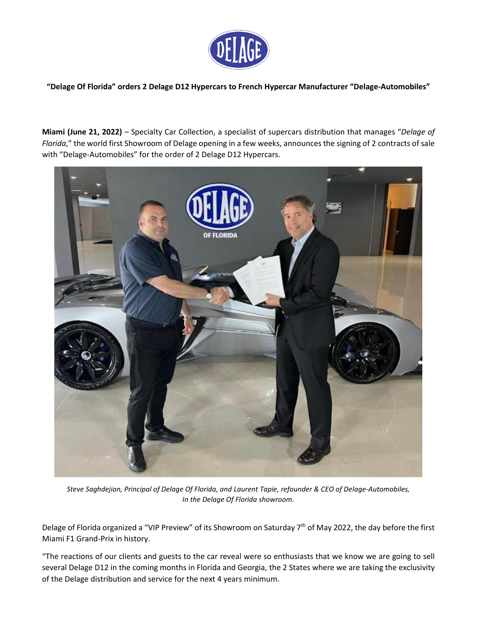

**"Delage Of Florida" orders 2 Delage D12 Hypercars to French Hypercar Manufacturer "Delage-Automobiles"**

**Miami (June 21, 2022)** – Specialty Car Collection, a specialist of supercars distribution that manages "*Delage of Florida*," the world first Showroom of Delage opening in a few weeks, announces the signing of 2 contracts of sale with "Delage-Automobiles" for the order of 2 Delage D12 Hypercars.



*Steve Saghdejian, Principal of Delage Of Florida, and Laurent Tapie, refounder & CEO of Delage-Automobiles, In the Delage Of Florida showroom.*

Delage of Florida organized a "VIP Preview" of its Showroom on Saturday 7<sup>th</sup> of May 2022, the day before the first Miami F1 Grand-Prix in history.

"The reactions of our clients and guests to the car reveal were so enthusiasts that we know we are going to sell several Delage D12 in the coming months in Florida and Georgia, the 2 States where we are taking the exclusivity of the Delage distribution and service for the next 4 years minimum.